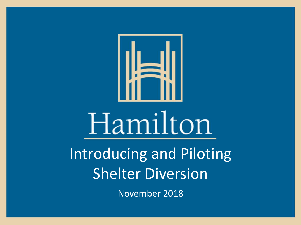

# Hamilton

Introducing and Piloting Shelter Diversion

November 2018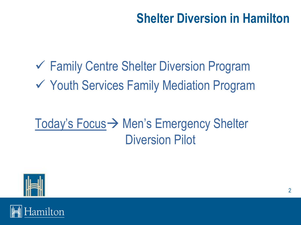## **Shelter Diversion in Hamilton**

✓ Family Centre Shelter Diversion Program ✓ Youth Services Family Mediation Program

# Today's Focus→ Men's Emergency Shelter Diversion Pilot



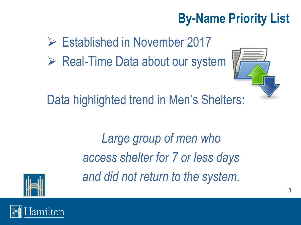# **By-Name Priority List**

➢ Established in November 2017

➢ Real-Time Data about our system



Data highlighted trend in Men's Shelters:

*Large group of men who access shelter for 7 or less days and did not return to the system.*



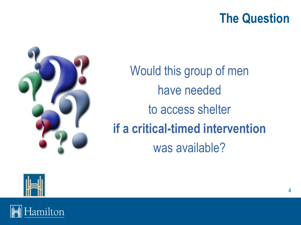#### **The Question**



Would this group of men have needed to access shelter **if a critical-timed intervention** was available?



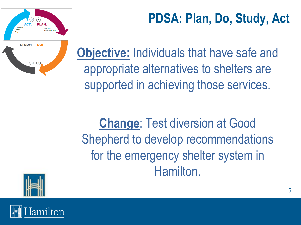



**Objective:** Individuals that have safe and appropriate alternatives to shelters are supported in achieving those services.

**Change**: Test diversion at Good Shepherd to develop recommendations for the emergency shelter system in Hamilton.



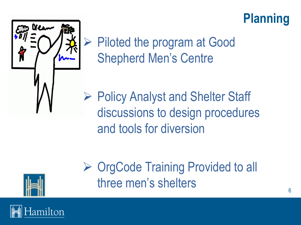## **Planning**



➢ Piloted the program at Good Shepherd Men's Centre

➢ Policy Analyst and Shelter Staff discussions to design procedures and tools for diversion



➢ OrgCode Training Provided to all three men's shelters

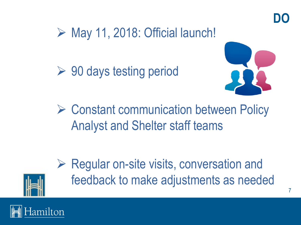## $\triangleright$  May 11, 2018: Official launch!

 $\triangleright$  90 days testing period



➢ Constant communication between Policy Analyst and Shelter staff teams



 $\triangleright$  Regular on-site visits, conversation and feedback to make adjustments as needed

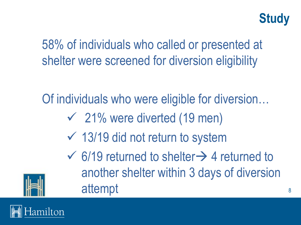

58% of individuals who called or presented at shelter were screened for diversion eligibility

Of individuals who were eligible for diversion…

- $\sim$  21% were diverted (19 men)
- $\sqrt{13/19}$  did not return to system
- $\checkmark$  6/19 returned to shelter  $\rightarrow$  4 returned to another shelter within 3 days of diversion attempt



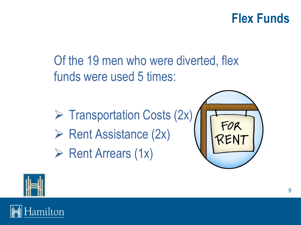#### **Flex Funds**

Of the 19 men who were diverted, flex funds were used 5 times:

- ➢ Transportation Costs (2x)
- ➢ Rent Assistance (2x)
- ➢ Rent Arrears (1x)





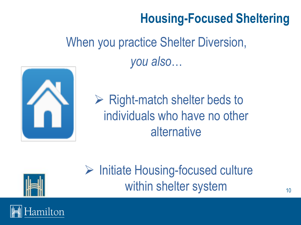## **Housing-Focused Sheltering**

# When you practice Shelter Diversion, *you also*…



 $\triangleright$  Right-match shelter beds to individuals who have no other alternative



# ➢ Initiate Housing-focused culture within shelter system

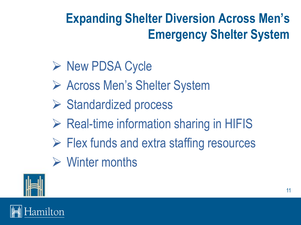# **Expanding Shelter Diversion Across Men's Emergency Shelter System**

#### ➢ New PDSA Cycle

- ➢ Across Men's Shelter System
- ➢ Standardized process
- $\triangleright$  Real-time information sharing in HIFIS
- $\triangleright$  Flex funds and extra staffing resources
- ➢ Winter months



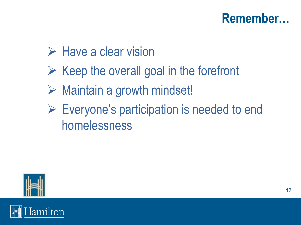#### **Remember…**

#### ➢ Have a clear vision

- $\triangleright$  Keep the overall goal in the forefront
- ➢ Maintain a growth mindset!
- ➢ Everyone's participation is needed to end homelessness



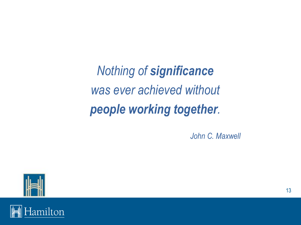*Nothing of significance was ever achieved without people working together.*

*John C. Maxwell*